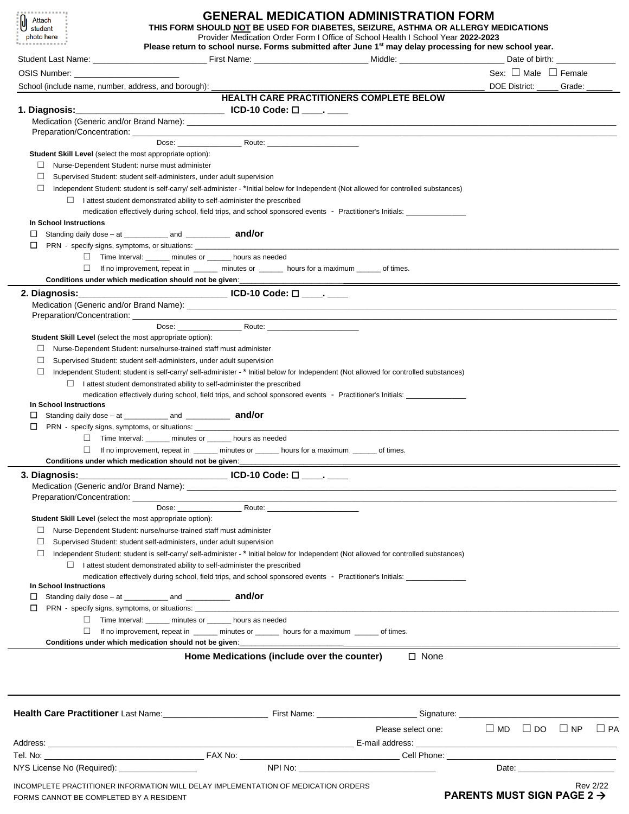| <b>************</b><br>Attach<br>student<br>photo here<br>.                                                                   |                                                                                                | <b>GENERAL MEDICATION ADMINISTRATION FORM</b><br>THIS FORM SHOULD NOT BE USED FOR DIABETES, SEIZURE, ASTHMA OR ALLERGY MEDICATIONS<br>Provider Medication Order Form I Office of School Health I School Year 2022-2023<br>Please return to school nurse. Forms submitted after June 1 <sup>st</sup> may delay processing for new school year. |                                        |                                        |                                                           |                 |
|-------------------------------------------------------------------------------------------------------------------------------|------------------------------------------------------------------------------------------------|-----------------------------------------------------------------------------------------------------------------------------------------------------------------------------------------------------------------------------------------------------------------------------------------------------------------------------------------------|----------------------------------------|----------------------------------------|-----------------------------------------------------------|-----------------|
|                                                                                                                               |                                                                                                |                                                                                                                                                                                                                                                                                                                                               |                                        |                                        |                                                           |                 |
| OSIS Number: William Services                                                                                                 |                                                                                                |                                                                                                                                                                                                                                                                                                                                               |                                        |                                        | Sex: $\Box$ Male $\Box$ Female                            |                 |
| School (include name, number, address, and borough): ___                                                                      |                                                                                                |                                                                                                                                                                                                                                                                                                                                               |                                        | DOE District: _____ Grade: _____       |                                                           |                 |
|                                                                                                                               |                                                                                                | HEALTH CARE PRACTITIONERS COMPLETE BELOW                                                                                                                                                                                                                                                                                                      |                                        |                                        |                                                           |                 |
|                                                                                                                               |                                                                                                |                                                                                                                                                                                                                                                                                                                                               |                                        |                                        |                                                           |                 |
|                                                                                                                               |                                                                                                |                                                                                                                                                                                                                                                                                                                                               |                                        |                                        |                                                           |                 |
|                                                                                                                               |                                                                                                |                                                                                                                                                                                                                                                                                                                                               |                                        |                                        |                                                           |                 |
|                                                                                                                               |                                                                                                | Dose: Route: Route:                                                                                                                                                                                                                                                                                                                           |                                        |                                        |                                                           |                 |
| Student Skill Level (select the most appropriate option):                                                                     |                                                                                                |                                                                                                                                                                                                                                                                                                                                               |                                        |                                        |                                                           |                 |
| ⊔<br>$\Box$                                                                                                                   | Nurse-Dependent Student: nurse must administer                                                 |                                                                                                                                                                                                                                                                                                                                               |                                        |                                        |                                                           |                 |
| $\Box$                                                                                                                        | Supervised Student: student self-administers, under adult supervision                          | Independent Student: student is self-carry/self-administer - *Initial below for Independent (Not allowed for controlled substances)                                                                                                                                                                                                           |                                        |                                        |                                                           |                 |
|                                                                                                                               | $\Box$ I attest student demonstrated ability to self-administer the prescribed                 |                                                                                                                                                                                                                                                                                                                                               |                                        |                                        |                                                           |                 |
|                                                                                                                               |                                                                                                | medication effectively during school, field trips, and school sponsored events - Practitioner's Initials:                                                                                                                                                                                                                                     |                                        |                                        |                                                           |                 |
| In School Instructions                                                                                                        |                                                                                                |                                                                                                                                                                                                                                                                                                                                               |                                        |                                        |                                                           |                 |
| ப                                                                                                                             |                                                                                                |                                                                                                                                                                                                                                                                                                                                               |                                        |                                        |                                                           |                 |
| $\Box$                                                                                                                        |                                                                                                |                                                                                                                                                                                                                                                                                                                                               |                                        |                                        |                                                           |                 |
|                                                                                                                               | □ Time Interval: ______ minutes or ______ hours as needed                                      |                                                                                                                                                                                                                                                                                                                                               |                                        |                                        |                                                           |                 |
|                                                                                                                               |                                                                                                | $\Box$ If no improvement, repeat in $\Box$ initutes or $\Box$ hours for a maximum of times.                                                                                                                                                                                                                                                   |                                        |                                        |                                                           |                 |
|                                                                                                                               |                                                                                                |                                                                                                                                                                                                                                                                                                                                               |                                        |                                        |                                                           |                 |
|                                                                                                                               |                                                                                                |                                                                                                                                                                                                                                                                                                                                               |                                        |                                        |                                                           |                 |
|                                                                                                                               |                                                                                                |                                                                                                                                                                                                                                                                                                                                               |                                        |                                        |                                                           |                 |
|                                                                                                                               |                                                                                                |                                                                                                                                                                                                                                                                                                                                               |                                        |                                        |                                                           |                 |
| Student Skill Level (select the most appropriate option):                                                                     |                                                                                                |                                                                                                                                                                                                                                                                                                                                               |                                        |                                        |                                                           |                 |
| ⊔                                                                                                                             | Nurse-Dependent Student: nurse/nurse-trained staff must administer                             |                                                                                                                                                                                                                                                                                                                                               |                                        |                                        |                                                           |                 |
| $\Box$                                                                                                                        | Supervised Student: student self-administers, under adult supervision                          |                                                                                                                                                                                                                                                                                                                                               |                                        |                                        |                                                           |                 |
| П                                                                                                                             |                                                                                                | Independent Student: student is self-carry/ self-administer - * Initial below for Independent (Not allowed for controlled substances)                                                                                                                                                                                                         |                                        |                                        |                                                           |                 |
|                                                                                                                               | $\Box$ I attest student demonstrated ability to self-administer the prescribed                 |                                                                                                                                                                                                                                                                                                                                               |                                        |                                        |                                                           |                 |
|                                                                                                                               |                                                                                                | medication effectively during school, field trips, and school sponsored events - Practitioner's Initials: _____________________________                                                                                                                                                                                                       |                                        |                                        |                                                           |                 |
| In School Instructions                                                                                                        |                                                                                                |                                                                                                                                                                                                                                                                                                                                               |                                        |                                        |                                                           |                 |
| ப                                                                                                                             | Standing daily dose $-$ at $\frac{1}{2}$ and $\frac{1}{2}$ and $\frac{1}{2}$ and $\frac{1}{2}$ |                                                                                                                                                                                                                                                                                                                                               |                                        |                                        |                                                           |                 |
| $\Box$                                                                                                                        |                                                                                                |                                                                                                                                                                                                                                                                                                                                               |                                        |                                        |                                                           |                 |
|                                                                                                                               | □ Time Interval: _____ minutes or _____ hours as needed                                        |                                                                                                                                                                                                                                                                                                                                               |                                        |                                        |                                                           |                 |
|                                                                                                                               |                                                                                                | If no improvement, repeat in _____ minutes or _____ hours for a maximum _____ of times.                                                                                                                                                                                                                                                       |                                        |                                        |                                                           |                 |
|                                                                                                                               |                                                                                                |                                                                                                                                                                                                                                                                                                                                               |                                        |                                        |                                                           |                 |
| 3. Diagnosis:                                                                                                                 |                                                                                                |                                                                                                                                                                                                                                                                                                                                               |                                        |                                        |                                                           |                 |
|                                                                                                                               |                                                                                                |                                                                                                                                                                                                                                                                                                                                               |                                        |                                        |                                                           |                 |
|                                                                                                                               |                                                                                                |                                                                                                                                                                                                                                                                                                                                               |                                        |                                        |                                                           |                 |
| Student Skill Level (select the most appropriate option):                                                                     |                                                                                                |                                                                                                                                                                                                                                                                                                                                               |                                        |                                        |                                                           |                 |
| ⊔                                                                                                                             | Nurse-Dependent Student: nurse/nurse-trained staff must administer                             |                                                                                                                                                                                                                                                                                                                                               |                                        |                                        |                                                           |                 |
| $\Box$                                                                                                                        | Supervised Student: student self-administers, under adult supervision                          |                                                                                                                                                                                                                                                                                                                                               |                                        |                                        |                                                           |                 |
| □                                                                                                                             |                                                                                                | Independent Student: student is self-carry/self-administer - * Initial below for Independent (Not allowed for controlled substances)                                                                                                                                                                                                          |                                        |                                        |                                                           |                 |
|                                                                                                                               | $\Box$ I attest student demonstrated ability to self-administer the prescribed                 |                                                                                                                                                                                                                                                                                                                                               |                                        |                                        |                                                           |                 |
|                                                                                                                               |                                                                                                | medication effectively during school, field trips, and school sponsored events - Practitioner's Initials:                                                                                                                                                                                                                                     |                                        |                                        |                                                           |                 |
| In School Instructions                                                                                                        | Standing daily dose $-$ at $\frac{1}{2}$ and $\frac{1}{2}$ and $\frac{1}{2}$ and $\frac{1}{2}$ |                                                                                                                                                                                                                                                                                                                                               |                                        |                                        |                                                           |                 |
| ப<br>□                                                                                                                        |                                                                                                |                                                                                                                                                                                                                                                                                                                                               |                                        |                                        |                                                           |                 |
|                                                                                                                               | □ Time Interval: _____ minutes or _____ hours as needed                                        |                                                                                                                                                                                                                                                                                                                                               |                                        |                                        |                                                           |                 |
| $\Box$                                                                                                                        |                                                                                                | If no improvement, repeat in ______ minutes or ______ hours for a maximum ______ of times.                                                                                                                                                                                                                                                    |                                        |                                        |                                                           |                 |
|                                                                                                                               |                                                                                                |                                                                                                                                                                                                                                                                                                                                               |                                        |                                        |                                                           |                 |
|                                                                                                                               |                                                                                                | Home Medications (include over the counter)                                                                                                                                                                                                                                                                                                   | $\Box$ None                            |                                        |                                                           |                 |
|                                                                                                                               |                                                                                                |                                                                                                                                                                                                                                                                                                                                               |                                        |                                        |                                                           |                 |
| Health Care Practitioner Last Name: Contact Care First Name: Contact Care Signature: Contact Care Practitioner                |                                                                                                |                                                                                                                                                                                                                                                                                                                                               |                                        |                                        |                                                           |                 |
|                                                                                                                               |                                                                                                |                                                                                                                                                                                                                                                                                                                                               | Please select one: □ MD □ DO □ NP □ PA |                                        |                                                           |                 |
|                                                                                                                               |                                                                                                |                                                                                                                                                                                                                                                                                                                                               |                                        |                                        |                                                           |                 |
|                                                                                                                               |                                                                                                |                                                                                                                                                                                                                                                                                                                                               |                                        |                                        |                                                           |                 |
| NYS License No (Required): NYS License No (Required):                                                                         |                                                                                                |                                                                                                                                                                                                                                                                                                                                               |                                        |                                        | Date: <u>with a series of the series of the series of</u> |                 |
|                                                                                                                               |                                                                                                |                                                                                                                                                                                                                                                                                                                                               |                                        |                                        |                                                           |                 |
| INCOMPLETE PRACTITIONER INFORMATION WILL DELAY IMPLEMENTATION OF MEDICATION ORDERS<br>FORMS CANNOT BE COMPLETED BY A RESIDENT |                                                                                                |                                                                                                                                                                                                                                                                                                                                               |                                        | PARENTS MUST SIGN PAGE 2 $\rightarrow$ |                                                           | <b>Rev 2/22</b> |